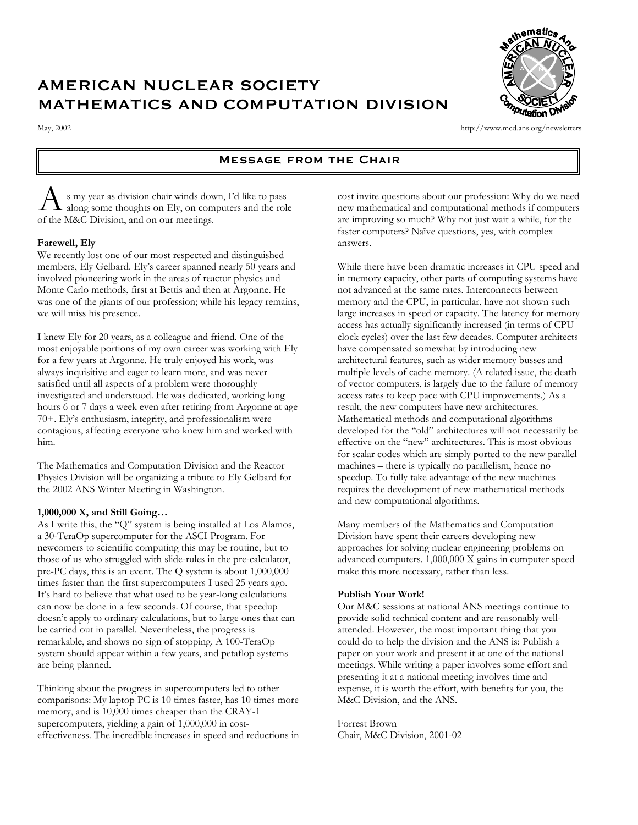# AMERICAN NUCLEAR SOCIETY MATHEMATICS AND COMPUTATION DIVISION



May, 2002 http://www.mcd.ans.org/newsletters

# Message from the Chair

s my year as division chair winds down, I'd like to pass along some thoughts on Ely, on computers and the role  $\bigwedge$  s my year as division chair winds dow<br>of the M&C Division, and on our meetings.

# **Farewell, Ely**

We recently lost one of our most respected and distinguished members, Ely Gelbard. Ely's career spanned nearly 50 years and involved pioneering work in the areas of reactor physics and Monte Carlo methods, first at Bettis and then at Argonne. He was one of the giants of our profession; while his legacy remains, we will miss his presence.

I knew Ely for 20 years, as a colleague and friend. One of the most enjoyable portions of my own career was working with Ely for a few years at Argonne. He truly enjoyed his work, was always inquisitive and eager to learn more, and was never satisfied until all aspects of a problem were thoroughly investigated and understood. He was dedicated, working long hours 6 or 7 days a week even after retiring from Argonne at age 70+. Ely's enthusiasm, integrity, and professionalism were contagious, affecting everyone who knew him and worked with him.

The Mathematics and Computation Division and the Reactor Physics Division will be organizing a tribute to Ely Gelbard for the 2002 ANS Winter Meeting in Washington.

# **1,000,000 X, and Still Going…**

As I write this, the "Q" system is being installed at Los Alamos, a 30-TeraOp supercomputer for the ASCI Program. For newcomers to scientific computing this may be routine, but to those of us who struggled with slide-rules in the pre-calculator, pre-PC days, this is an event. The Q system is about 1,000,000 times faster than the first supercomputers I used 25 years ago. It's hard to believe that what used to be year-long calculations can now be done in a few seconds. Of course, that speedup doesn't apply to ordinary calculations, but to large ones that can be carried out in parallel. Nevertheless, the progress is remarkable, and shows no sign of stopping. A 100-TeraOp system should appear within a few years, and petaflop systems are being planned.

Thinking about the progress in supercomputers led to other comparisons: My laptop PC is 10 times faster, has 10 times more memory, and is 10,000 times cheaper than the CRAY-1 supercomputers, yielding a gain of 1,000,000 in costeffectiveness. The incredible increases in speed and reductions in cost invite questions about our profession: Why do we need new mathematical and computational methods if computers are improving so much? Why not just wait a while, for the faster computers? Naïve questions, yes, with complex answers.

While there have been dramatic increases in CPU speed and in memory capacity, other parts of computing systems have not advanced at the same rates. Interconnects between memory and the CPU, in particular, have not shown such large increases in speed or capacity. The latency for memory access has actually significantly increased (in terms of CPU clock cycles) over the last few decades. Computer architects have compensated somewhat by introducing new architectural features, such as wider memory busses and multiple levels of cache memory. (A related issue, the death of vector computers, is largely due to the failure of memory access rates to keep pace with CPU improvements.) As a result, the new computers have new architectures. Mathematical methods and computational algorithms developed for the "old" architectures will not necessarily be effective on the "new" architectures. This is most obvious for scalar codes which are simply ported to the new parallel machines – there is typically no parallelism, hence no speedup. To fully take advantage of the new machines requires the development of new mathematical methods and new computational algorithms.

Many members of the Mathematics and Computation Division have spent their careers developing new approaches for solving nuclear engineering problems on advanced computers. 1,000,000 X gains in computer speed make this more necessary, rather than less.

# **Publish Your Work!**

Our M&C sessions at national ANS meetings continue to provide solid technical content and are reasonably wellattended. However, the most important thing that you could do to help the division and the ANS is: Publish a paper on your work and present it at one of the national meetings. While writing a paper involves some effort and presenting it at a national meeting involves time and expense, it is worth the effort, with benefits for you, the M&C Division, and the ANS.

Forrest Brown Chair, M&C Division, 2001-02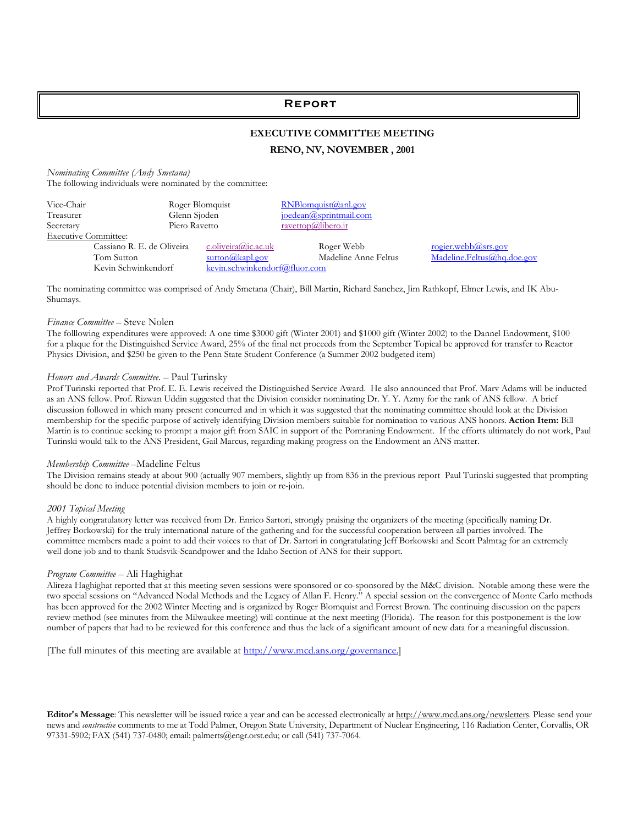# Report

# **EXECUTIVE COMMITTEE MEETING**

# **RENO, NV, NOVEMBER , 2001**

*Nominating Committee (Andy Smetana)* The following individuals were nominated by the committee:

| Vice-Chair                  | Roger Blomquist |                               | RNBlomquist@anl.gov       |                            |
|-----------------------------|-----------------|-------------------------------|---------------------------|----------------------------|
| Treasurer                   | Glenn Sjoden    |                               | $joedean@$ sprintmail.com |                            |
| Secretary                   | Piero Ravetto   |                               | ravettop@libero.it        |                            |
| <b>Executive Committee:</b> |                 |                               |                           |                            |
| Cassiano R. E. de Oliveira  |                 | c.oliveira@ic.ac.uk           | Roger Webb                | <u>rogier.webb@srs.gov</u> |
| Tom Sutton                  |                 | sutton@kapl.gov               | Madeline Anne Feltus      | Madeline.Feltus@hq.doe.gov |
| Kevin Schwinkendorf         |                 | kevin.schwinkendorf@fluor.com |                           |                            |

The nominating committee was comprised of Andy Smetana (Chair), Bill Martin, Richard Sanchez, Jim Rathkopf, Elmer Lewis, and IK Abu-Shumays.

#### *Finance Committee* – Steve Nolen

The folllowing expenditures were approved: A one time \$3000 gift (Winter 2001) and \$1000 gift (Winter 2002) to the Dannel Endowment, \$100 for a plaque for the Distinguished Service Award, 25% of the final net proceeds from the September Topical be approved for transfer to Reactor Physics Division, and \$250 be given to the Penn State Student Conference (a Summer 2002 budgeted item)

#### *Honors and Awards Committee*. – Paul Turinsky

Prof Turinski reported that Prof. E. E. Lewis received the Distinguished Service Award. He also announced that Prof. Marv Adams will be inducted as an ANS fellow. Prof. Rizwan Uddin suggested that the Division consider nominating Dr. Y. Y. Azmy for the rank of ANS fellow. A brief discussion followed in which many present concurred and in which it was suggested that the nominating committee should look at the Division membership for the specific purpose of actively identifying Division members suitable for nomination to various ANS honors. **Action Item:** Bill Martin is to continue seeking to prompt a major gift from SAIC in support of the Pomraning Endowment. If the efforts ultimately do not work, Paul Turinski would talk to the ANS President, Gail Marcus, regarding making progress on the Endowment an ANS matter.

#### *Membership Committee* –Madeline Feltus

The Division remains steady at about 900 (actually 907 members, slightly up from 836 in the previous report Paul Turinski suggested that prompting should be done to induce potential division members to join or re-join.

#### *2001 Topical Meeting*

A highly congratulatory letter was received from Dr. Enrico Sartori, strongly praising the organizers of the meeting (specifically naming Dr. Jeffrey Borkowski) for the truly international nature of the gathering and for the successful cooperation between all parties involved. The committee members made a point to add their voices to that of Dr. Sartori in congratulating Jeff Borkowski and Scott Palmtag for an extremely well done job and to thank Studsvik-Scandpower and the Idaho Section of ANS for their support.

#### *Program Committee* – Ali Haghighat

Alireza Haghighat reported that at this meeting seven sessions were sponsored or co-sponsored by the M&C division. Notable among these were the two special sessions on "Advanced Nodal Methods and the Legacy of Allan F. Henry." A special session on the convergence of Monte Carlo methods has been approved for the 2002 Winter Meeting and is organized by Roger Blomquist and Forrest Brown. The continuing discussion on the papers review method (see minutes from the Milwaukee meeting) will continue at the next meeting (Florida). The reason for this postponement is the low number of papers that had to be reviewed for this conference and thus the lack of a significant amount of new data for a meaningful discussion.

[The full minutes of this meeting are available at http://www.mcd.ans.org/governance.]

Editor's Message: This newsletter will be issued twice a year and can be accessed electronically at http://www.mcd.ans.org/newsletters. Please send your news and *constructive* comments to me at Todd Palmer, Oregon State University, Department of Nuclear Engineering, 116 Radiation Center, Corvallis, OR 97331-5902; FAX (541) 737-0480; email: palmerts@engr.orst.edu; or call (541) 737-7064.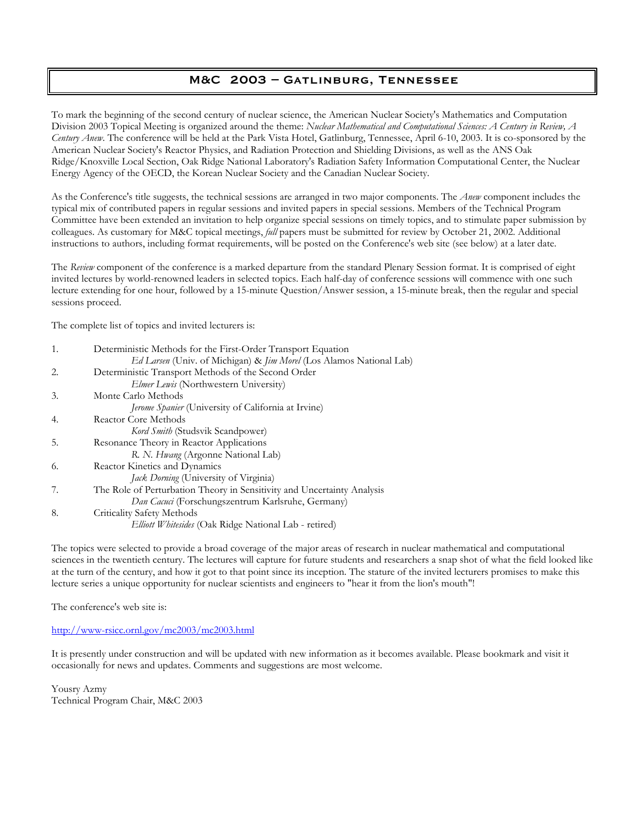# M&C 2003 – Gatlinburg, Tennessee

To mark the beginning of the second century of nuclear science, the American Nuclear Society's Mathematics and Computation Division 2003 Topical Meeting is organized around the theme: *Nuclear Mathematical and Computational Sciences: A Century in Review, A Century Anew*. The conference will be held at the Park Vista Hotel, Gatlinburg, Tennessee, April 6-10, 2003. It is co-sponsored by the American Nuclear Society's Reactor Physics, and Radiation Protection and Shielding Divisions, as well as the ANS Oak Ridge/Knoxville Local Section, Oak Ridge National Laboratory's Radiation Safety Information Computational Center, the Nuclear Energy Agency of the OECD, the Korean Nuclear Society and the Canadian Nuclear Society.

As the Conference's title suggests, the technical sessions are arranged in two major components. The *Anew* component includes the typical mix of contributed papers in regular sessions and invited papers in special sessions. Members of the Technical Program Committee have been extended an invitation to help organize special sessions on timely topics, and to stimulate paper submission by colleagues. As customary for M&C topical meetings, *full* papers must be submitted for review by October 21, 2002. Additional instructions to authors, including format requirements, will be posted on the Conference's web site (see below) at a later date.

The *Review* component of the conference is a marked departure from the standard Plenary Session format. It is comprised of eight invited lectures by world-renowned leaders in selected topics. Each half-day of conference sessions will commence with one such lecture extending for one hour, followed by a 15-minute Question/Answer session, a 15-minute break, then the regular and special sessions proceed.

The complete list of topics and invited lecturers is:

| 1. | Deterministic Methods for the First-Order Transport Equation               |
|----|----------------------------------------------------------------------------|
|    | Ed Larsen (Univ. of Michigan) & <i>Jim Morel</i> (Los Alamos National Lab) |
| 2. | Deterministic Transport Methods of the Second Order                        |
|    | <i>Elmer Lewis</i> (Northwestern University)                               |
| 3. | Monte Carlo Methods                                                        |
|    | Jerome Spanier (University of California at Irvine)                        |
| 4. | Reactor Core Methods                                                       |
|    | <i>Kord Smith</i> (Studsvik Scandpower)                                    |
| 5. | Resonance Theory in Reactor Applications                                   |
|    | R. N. Hwang (Argonne National Lab)                                         |
| 6. | Reactor Kinetics and Dynamics                                              |
|    | Jack Dorning (University of Virginia)                                      |
| 7. | The Role of Perturbation Theory in Sensitivity and Uncertainty Analysis    |
|    | Dan Cacuci (Forschungszentrum Karlsruhe, Germany)                          |
| 8. | Criticality Safety Methods                                                 |
|    | <i>Elliott Whitesides</i> (Oak Ridge National Lab - retired)               |

The topics were selected to provide a broad coverage of the major areas of research in nuclear mathematical and computational sciences in the twentieth century. The lectures will capture for future students and researchers a snap shot of what the field looked like at the turn of the century, and how it got to that point since its inception. The stature of the invited lecturers promises to make this lecture series a unique opportunity for nuclear scientists and engineers to "hear it from the lion's mouth"!

The conference's web site is:

http://www-rsicc.ornl.gov/mc2003/mc2003.html

It is presently under construction and will be updated with new information as it becomes available. Please bookmark and visit it occasionally for news and updates. Comments and suggestions are most welcome.

Yousry Azmy Technical Program Chair, M&C 2003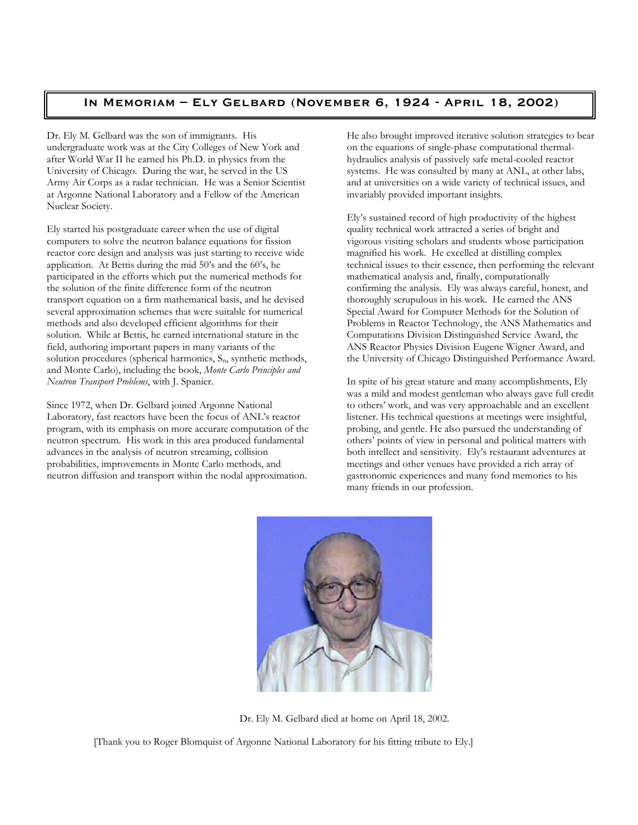# In Memoriam – Ely Gelbard (November 6, 1924 - April 18, 2002)

Dr. Ely M. Gelbard was the son of immigrants. His undergraduate work was at the City Colleges of New York and after World War II he earned his Ph.D. in physics from the University of Chicago. During the war, he served in the US Army Air Corps as a radar technician. He was a Senior Scientist at Argonne National Laboratory and a Fellow of the American Nuclear Society.

Ely started his postgraduate career when the use of digital computers to solve the neutron balance equations for fission reactor core design and analysis was just starting to receive wide application. At Bettis during the mid 50's and the 60's, he participated in the efforts which put the numerical methods for the solution of the finite difference form of the neutron transport equation on a firm mathematical basis, and he devised several approximation schemes that were suitable for numerical methods and also developed efficient algorithms for their solution. While at Bettis, he earned international stature in the field, authoring important papers in many variants of the solution procedures (spherical harmonics, S<sub>n</sub>, synthetic methods, and Monte Carlo), including the book, *Monte Carlo Principles and Neutron Transport Problems*, with J. Spanier.

Since 1972, when Dr. Gelbard joined Argonne National Laboratory, fast reactors have been the focus of ANL's reactor program, with its emphasis on more accurate computation of the neutron spectrum. His work in this area produced fundamental advances in the analysis of neutron streaming, collision probabilities, improvements in Monte Carlo methods, and neutron diffusion and transport within the nodal approximation.

He also brought improved iterative solution strategies to bear on the equations of single-phase computational thermalhydraulics analysis of passively safe metal-cooled reactor systems. He was consulted by many at ANL, at other labs, and at universities on a wide variety of technical issues, and invariably provided important insights.

Ely's sustained record of high productivity of the highest quality technical work attracted a series of bright and vigorous visiting scholars and students whose participation magnified his work. He excelled at distilling complex technical issues to their essence, then performing the relevant mathematical analysis and, finally, computationally confirming the analysis. Ely was always careful, honest, and thoroughly scrupulous in his work. He earned the ANS Special Award for Computer Methods for the Solution of Problems in Reactor Technology, the ANS Mathematics and Computations Division Distinguished Service Award, the ANS Reactor Physics Division Eugene Wigner Award, and the University of Chicago Distinguished Performance Award.

In spite of his great stature and many accomplishments, Ely was a mild and modest gentleman who always gave full credit to others' work, and was very approachable and an excellent listener. His technical questions at meetings were insightful, probing, and gentle. He also pursued the understanding of others' points of view in personal and political matters with both intellect and sensitivity. Ely's restaurant adventures at meetings and other venues have provided a rich array of gastronomic experiences and many fond memories to his many friends in our profession.



Dr. Ely M. Gelbard died at home on April 18, 2002.

[Thank you to Roger Blomquist of Argonne National Laboratory for his fitting tribute to Ely.]